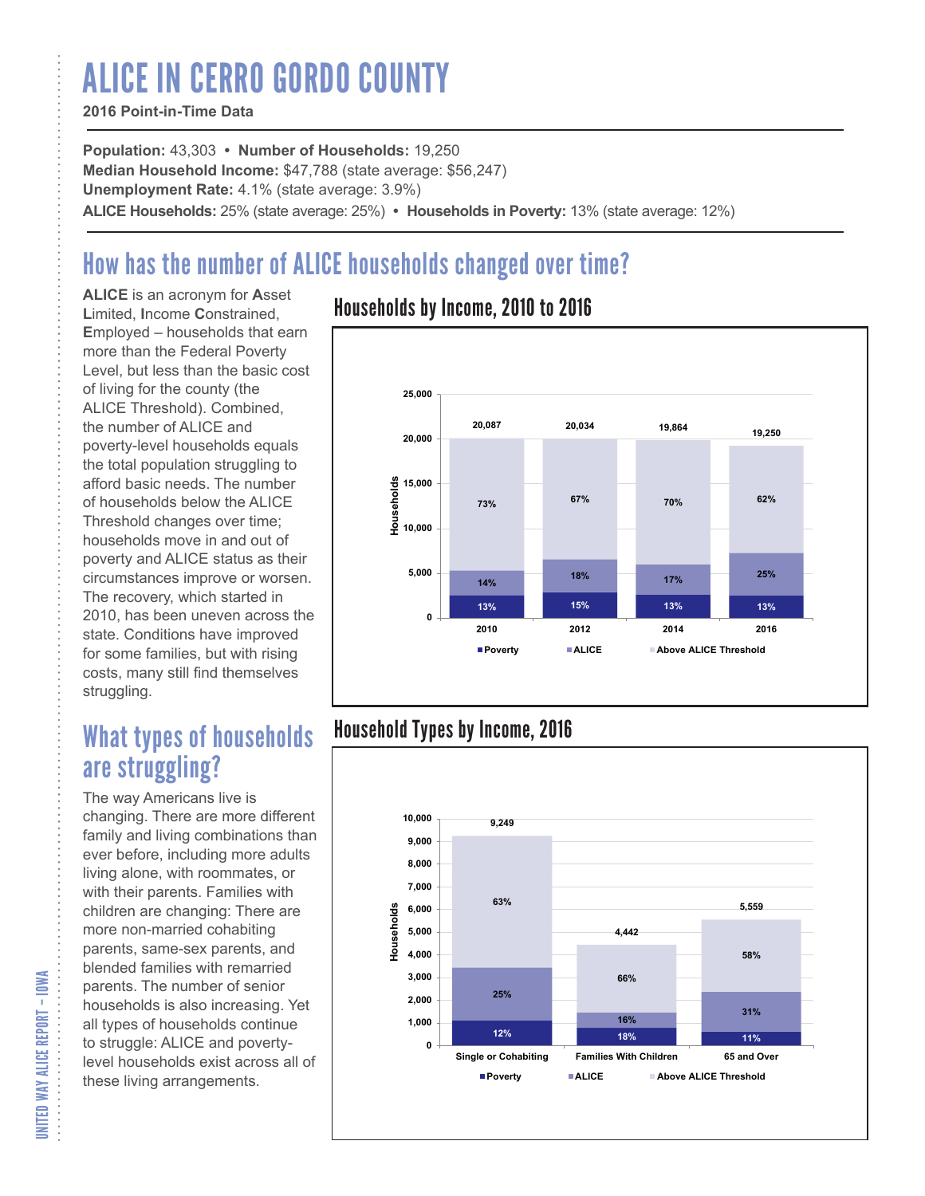# ALICE IN CERRO GORDO COUNTY

### **2016 Point-in-Time Data**

**Population:** 43,303 **• Number of Households:** 19,250 **Median Household Income:** \$47,788 (state average: \$56,247) **Unemployment Rate:** 4.1% (state average: 3.9%) **ALICE Households:** 25% (state average: 25%) **• Households in Poverty:** 13% (state average: 12%)

# How has the number of ALICE households changed over time?

**ALICE** is an acronym for **A**sset **L**imited, **I**ncome **C**onstrained, **E**mployed – households that earn more than the Federal Poverty Level, but less than the basic cost of living for the county (the ALICE Threshold). Combined, the number of ALICE and poverty-level households equals the total population struggling to afford basic needs. The number of households below the ALICE Threshold changes over time; households move in and out of poverty and ALICE status as their circumstances improve or worsen. The recovery, which started in 2010, has been uneven across the state. Conditions have improved for some families, but with rising costs, many still find themselves struggling.

## What types of households are struggling?

The way Americans live is changing. There are more different family and living combinations than ever before, including more adults living alone, with roommates, or with their parents. Families with children are changing: There are more non-married cohabiting parents, same-sex parents, and blended families with remarried parents. The number of senior households is also increasing. Yet all types of households continue to struggle: ALICE and povertylevel households exist across all of these living arrangements.

### Households by Income, 2010 to 2016



### Household Types by Income, 2016



UNITED WAY ALICE REPORT – IOWA UNITED WAY ALICE REPORT – IOWA